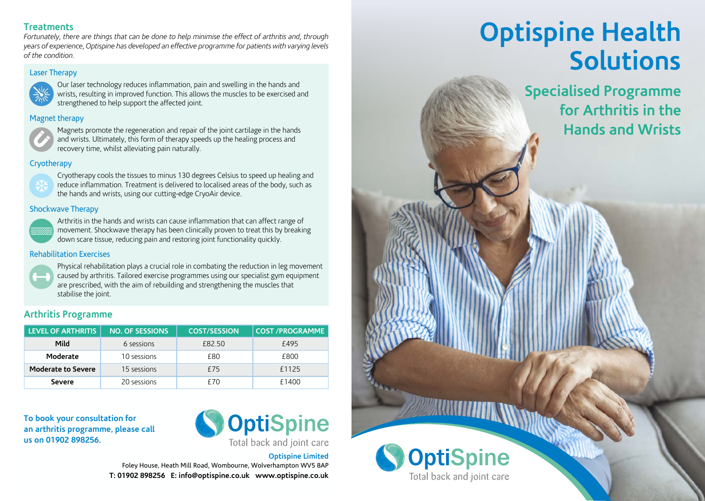### **Treatments**

*Fortunately, there are things that can be done to help minimise the effect of arthritis and, through years of experience, Optispine has developed an effective programme for patients with varying levels of the condition.* 

## Laser Therapy **developed** and the condition



**Label Therapy Curlaser technology reduces inflammation, pain and swelling in the hands and**  $\left\{\frac{1}{2}, \frac{1}{2}\right\}$  wrists, resulting in improved function. This allows the muscles to be exercised and strengthened to help support the affected joint.

### **Magnet therapy Magnet** the the state the state of the state of the state of the state of the state of the state of the state of the state of the state of the state of the state of the state of the state of the state of



Magnets promote the regeneration and repair of the joint cartilage in the hands **Hydrotherapy** and wrists. Ultimately, this form of therapy speeds up the healing process and recovery time, whilst alleviating pain naturally. range of the strengthens of the muscles of the muscles of the muscles of the muscles of the muscles of the muscles of the muscles of the muscles of the muscles of the muscles of the muscles of the muscles of the muscles of

## **Cryotherapy**



**Cryotherapy** cools the tissues to minus 130 degrees Celsius to speed up healing and **144** reduce inflammation. Treatment is delivered to localised areas of the body, such as **Arthr** the hands and wrists, using our cutting-edge CryoAir device.

## **Shockwave Therapy Millions**  $\mathbb{R}$



Arthritis in the hands and wrists can cause inflammation that can affect range of **Moderates in the reading of the reading of the reading of the set of the set of the set of the set of the aking** down scare tissue, reducing pain and restoring joint functionality quickly. **Severe 200 £14000 £14000 £14000 £14000 £1400** 

### **Phabilitation Exercises**



 Physical rehabilitation plays a crucial role in combating the reduction in leg movement caused by arthritis. Tailored exercise programmes using our specialist gym equipment are prescribed, with the aim of rebuilding and strengthening the muscles that stabilise the joint.

# **Arthritis Programme**

| <b>LEVEL OF ARTHRITIS</b> | <b>NO. OF SESSIONS</b> | <b>COST/SESSION</b> | <b>COST /PROGRAMME</b> |
|---------------------------|------------------------|---------------------|------------------------|
| Mild                      | 6 sessions             | £82.50              | £495                   |
| Moderate                  | 10 sessions            | £80                 | £800                   |
| <b>Moderate to Severe</b> | 15 sessions            | £75                 | £1125                  |
| <b>Severe</b>             | 20 sessions            | £70                 | £1400                  |

**To book your consultation for an arthritis programme, please call us on 01902 898256.**



**Optispine Limited** Foley House, Heath Mill Road, Wombourne, Wolverhampton WV5 8AP **T: 01902 898256 E: info@optispine.co.uk www.optispine.co.uk**

# **Optispine Health Solutions**

**Specialised Programme for Arthritis in the Hands and Wrists**